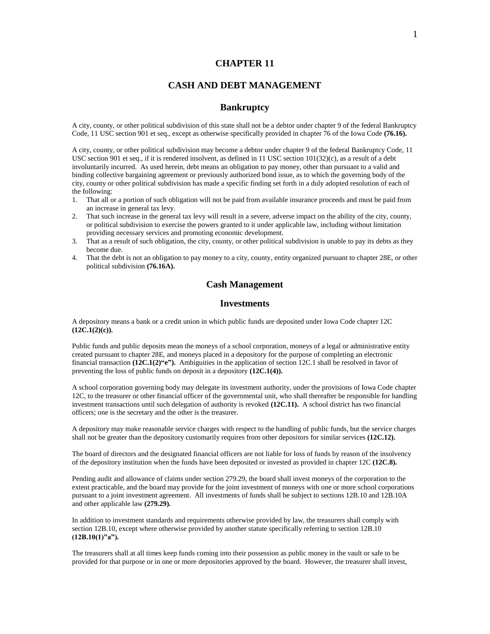### **CHAPTER 11**

## **CASH AND DEBT MANAGEMENT**

### **Bankruptcy**

A city, county, or other political subdivision of this state shall not be a debtor under chapter 9 of the federal Bankruptcy Code, 11 USC section 901 et seq., except as otherwise specifically provided in chapter 76 of the Iowa Code **(76.16).**

A city, county, or other political subdivision may become a debtor under chapter 9 of the federal Bankruptcy Code, 11 USC section 901 et seq., if it is rendered insolvent, as defined in 11 USC section 101(32)(c), as a result of a debt involuntarily incurred. As used herein, debt means an obligation to pay money, other than pursuant to a valid and binding collective bargaining agreement or previously authorized bond issue, as to which the governing body of the city, county or other political subdivision has made a specific finding set forth in a duly adopted resolution of each of the following:

- 1. That all or a portion of such obligation will not be paid from available insurance proceeds and must be paid from an increase in general tax levy.
- 2. That such increase in the general tax levy will result in a severe, adverse impact on the ability of the city, county, or political subdivision to exercise the powers granted to it under applicable law, including without limitation providing necessary services and promoting economic development.
- 3. That as a result of such obligation, the city, county, or other political subdivision is unable to pay its debts as they become due.
- 4. That the debt is not an obligation to pay money to a city, county, entity organized pursuant to chapter 28E, or other political subdivision **(76.16A).**

### **Cash Management**

### **Investments**

A depository means a bank or a credit union in which public funds are deposited under Iowa Code chapter 12C **(12C.1(2)(c)).**

Public funds and public deposits mean the moneys of a school corporation, moneys of a legal or administrative entity created pursuant to chapter 28E, and moneys placed in a depository for the purpose of completing an electronic financial transaction **(12C.1(2)"e").** Ambiguities in the application of section 12C.1 shall be resolved in favor of preventing the loss of public funds on deposit in a depository **(12C.1(4)).**

A school corporation governing body may delegate its investment authority, under the provisions of Iowa Code chapter 12C, to the treasurer or other financial officer of the governmental unit, who shall thereafter be responsible for handling investment transactions until such delegation of authority is revoked **(12C.11).** A school district has two financial officers; one is the secretary and the other is the treasurer.

A depository may make reasonable service charges with respect to the handling of public funds, but the service charges shall not be greater than the depository customarily requires from other depositors for similar services **(12C.12).**

The board of directors and the designated financial officers are not liable for loss of funds by reason of the insolvency of the depository institution when the funds have been deposited or invested as provided in chapter 12C **(12C.8).**

Pending audit and allowance of claims under section 279.29, the board shall invest moneys of the corporation to the extent practicable, and the board may provide for the joint investment of moneys with one or more school corporations pursuant to a joint investment agreement. All investments of funds shall be subject to sections 12B.10 and 12B.10A and other applicable law **(279.29).**

In addition to investment standards and requirements otherwise provided by law, the treasurers shall comply with section 12B.10, except where otherwise provided by another statute specifically referring to section 12B.10 **(12B.10(1)"a").**

The treasurers shall at all times keep funds coming into their possession as public money in the vault or safe to be provided for that purpose or in one or more depositories approved by the board. However, the treasurer shall invest,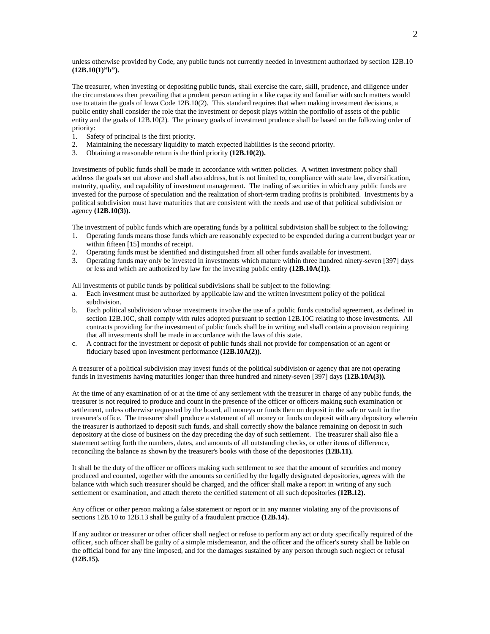unless otherwise provided by Code, any public funds not currently needed in investment authorized by section 12B.10 **(12B.10(1)"b").**

The treasurer, when investing or depositing public funds, shall exercise the care, skill, prudence, and diligence under the circumstances then prevailing that a prudent person acting in a like capacity and familiar with such matters would use to attain the goals of Iowa Code 12B.10(2). This standard requires that when making investment decisions, a public entity shall consider the role that the investment or deposit plays within the portfolio of assets of the public entity and the goals of 12B.10(2). The primary goals of investment prudence shall be based on the following order of priority:

- 1. Safety of principal is the first priority.
- 2. Maintaining the necessary liquidity to match expected liabilities is the second priority.
- 3. Obtaining a reasonable return is the third priority **(12B.10(2)).**

Investments of public funds shall be made in accordance with written policies. A written investment policy shall address the goals set out above and shall also address, but is not limited to, compliance with state law, diversification, maturity, quality, and capability of investment management. The trading of securities in which any public funds are invested for the purpose of speculation and the realization of short-term trading profits is prohibited. Investments by a political subdivision must have maturities that are consistent with the needs and use of that political subdivision or agency **(12B.10(3)).**

The investment of public funds which are operating funds by a political subdivision shall be subject to the following:

- 1. Operating funds means those funds which are reasonably expected to be expended during a current budget year or within fifteen [15] months of receipt.
- 2. Operating funds must be identified and distinguished from all other funds available for investment.
- 3. Operating funds may only be invested in investments which mature within three hundred ninety-seven [397] days or less and which are authorized by law for the investing public entity **(12B.10A(1)).**

All investments of public funds by political subdivisions shall be subject to the following:

- a. Each investment must be authorized by applicable law and the written investment policy of the political subdivision.
- b. Each political subdivision whose investments involve the use of a public funds custodial agreement, as defined in section 12B.10C, shall comply with rules adopted pursuant to section 12B.10C relating to those investments. All contracts providing for the investment of public funds shall be in writing and shall contain a provision requiring that all investments shall be made in accordance with the laws of this state.
- c. A contract for the investment or deposit of public funds shall not provide for compensation of an agent or fiduciary based upon investment performance **(12B.10A(2))**.

A treasurer of a political subdivision may invest funds of the political subdivision or agency that are not operating funds in investments having maturities longer than three hundred and ninety-seven [397] days **(12B.10A(3)).**

At the time of any examination of or at the time of any settlement with the treasurer in charge of any public funds, the treasurer is not required to produce and count in the presence of the officer or officers making such examination or settlement, unless otherwise requested by the board, all moneys or funds then on deposit in the safe or vault in the treasurer's office. The treasurer shall produce a statement of all money or funds on deposit with any depository wherein the treasurer is authorized to deposit such funds, and shall correctly show the balance remaining on deposit in such depository at the close of business on the day preceding the day of such settlement. The treasurer shall also file a statement setting forth the numbers, dates, and amounts of all outstanding checks, or other items of difference, reconciling the balance as shown by the treasurer's books with those of the depositories **(12B.11).**

It shall be the duty of the officer or officers making such settlement to see that the amount of securities and money produced and counted, together with the amounts so certified by the legally designated depositories, agrees with the balance with which such treasurer should be charged, and the officer shall make a report in writing of any such settlement or examination, and attach thereto the certified statement of all such depositories **(12B.12).**

Any officer or other person making a false statement or report or in any manner violating any of the provisions of sections 12B.10 to 12B.13 shall be guilty of a fraudulent practice **(12B.14).**

If any auditor or treasurer or other officer shall neglect or refuse to perform any act or duty specifically required of the officer, such officer shall be guilty of a simple misdemeanor, and the officer and the officer's surety shall be liable on the official bond for any fine imposed, and for the damages sustained by any person through such neglect or refusal **(12B.15).**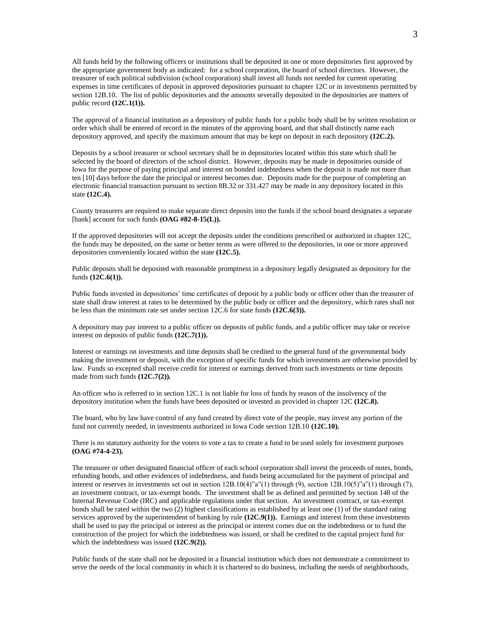All funds held by the following officers or institutions shall be deposited in one or more depositories first approved by the appropriate government body as indicated: for a school corporation, the board of school directors. However, the treasurer of each political subdivision (school corporation) shall invest all funds not needed for current operating expenses in time certificates of deposit in approved depositories pursuant to chapter 12C or in investments permitted by section 12B.10. The list of public depositories and the amounts severally deposited in the depositories are matters of public record **(12C.1(1)).**

The approval of a financial institution as a depository of public funds for a public body shall be by written resolution or order which shall be entered of record in the minutes of the approving board, and that shall distinctly name each depository approved, and specify the maximum amount that may be kept on deposit in each depository **(12C.2).**

Deposits by a school treasurer or school secretary shall be in depositories located within this state which shall be selected by the board of directors of the school district. However, deposits may be made in depositories outside of Iowa for the purpose of paying principal and interest on bonded indebtedness when the deposit is made not more than ten [10] days before the date the principal or interest becomes due. Deposits made for the purpose of completing an electronic financial transaction pursuant to section 8B.32 or 331.427 may be made in any depository located in this state **(12C.4).**

County treasurers are required to make separate direct deposits into the funds if the school board designates a separate [bank] account for such funds **(OAG #82-8-15(L)).** 

If the approved depositories will not accept the deposits under the conditions prescribed or authorized in chapter 12C, the funds may be deposited, on the same or better terms as were offered to the depositories, in one or more approved depositories conveniently located within the state **(12C.5).**

Public deposits shall be deposited with reasonable promptness in a depository legally designated as depository for the funds **(12C.6(1)).**

Public funds invested in depositories' time certificates of deposit by a public body or officer other than the treasurer of state shall draw interest at rates to be determined by the public body or officer and the depository, which rates shall not be less than the minimum rate set under section 12C.6 for state funds **(12C.6(3)).**

A depository may pay interest to a public officer on deposits of public funds, and a public officer may take or receive interest on deposits of public funds **(12C.7(1)).**

Interest or earnings on investments and time deposits shall be credited to the general fund of the governmental body making the investment or deposit, with the exception of specific funds for which investments are otherwise provided by law. Funds so excepted shall receive credit for interest or earnings derived from such investments or time deposits made from such funds **(12C.7(2)).**

An officer who is referred to in section 12C.1 is not liable for loss of funds by reason of the insolvency of the depository institution when the funds have been deposited or invested as provided in chapter 12C **(12C.8).**

The board, who by law have control of any fund created by direct vote of the people, may invest any portion of the fund not currently needed, in investments authorized in Iowa Code section 12B.10 **(12C.10).**

There is no statutory authority for the voters to vote a tax to create a fund to be used solely for investment purposes **(OAG #74-4-23).**

The treasurer or other designated financial officer of each school corporation shall invest the proceeds of notes, bonds, refunding bonds, and other evidences of indebtedness, and funds being accumulated for the payment of principal and interest or reserves in investments set out in section 12B.10(4)"a"(1) through (9), section 12B.10(5)"a"(1) through (7), an investment contract, or tax-exempt bonds. The investment shall be as defined and permitted by section 148 of the Internal Revenue Code (IRC) and applicable regulations under that section. An investment contract, or tax-exempt bonds shall be rated within the two (2) highest classifications as established by at least one (1) of the standard rating services approved by the superintendent of banking by rule **(12C.9(1)).** Earnings and interest from these investments shall be used to pay the principal or interest as the principal or interest comes due on the indebtedness or to fund the construction of the project for which the indebtedness was issued, or shall be credited to the capital project fund for which the indebtedness was issued **(12C.9(2)).**

Public funds of the state shall not be deposited in a financial institution which does not demonstrate a commitment to serve the needs of the local community in which it is chartered to do business, including the needs of neighborhoods,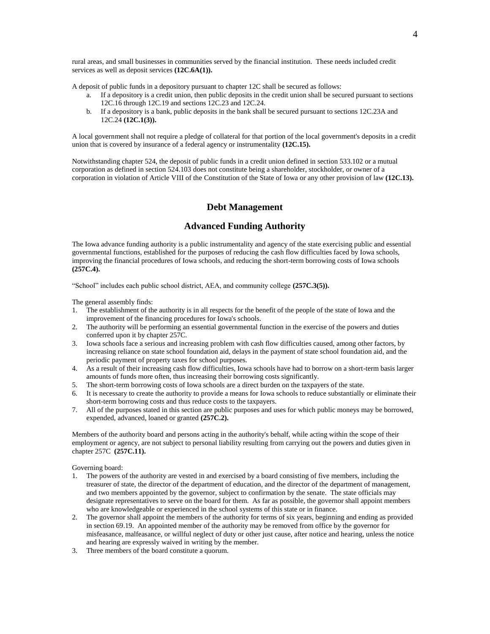rural areas, and small businesses in communities served by the financial institution. These needs included credit services as well as deposit services **(12C.6A(1)).**

A deposit of public funds in a depository pursuant to chapter 12C shall be secured as follows:

- a. If a depository is a credit union, then public deposits in the credit union shall be secured pursuant to sections 12C.16 through 12C.19 and sections 12C.23 and 12C.24.
- b. If a depository is a bank, public deposits in the bank shall be secured pursuant to sections 12C.23A and 12C.24 **(12C.1(3)).**

A local government shall not require a pledge of collateral for that portion of the local government's deposits in a credit union that is covered by insurance of a federal agency or instrumentality **(12C.15).**

Notwithstanding chapter 524, the deposit of public funds in a credit union defined in section 533.102 or a mutual corporation as defined in section 524.103 does not constitute being a shareholder, stockholder, or owner of a corporation in violation of Article VIII of the Constitution of the State of Iowa or any other provision of law **(12C.13).**

### **Debt Management**

### **Advanced Funding Authority**

The Iowa advance funding authority is a public instrumentality and agency of the state exercising public and essential governmental functions, established for the purposes of reducing the cash flow difficulties faced by Iowa schools, improving the financial procedures of Iowa schools, and reducing the short-term borrowing costs of Iowa schools **(257C.4).**

"School" includes each public school district, AEA, and community college **(257C.3(5)).**

The general assembly finds:

- 1. The establishment of the authority is in all respects for the benefit of the people of the state of Iowa and the improvement of the financing procedures for Iowa's schools.
- 2. The authority will be performing an essential governmental function in the exercise of the powers and duties conferred upon it by chapter 257C.
- 3. Iowa schools face a serious and increasing problem with cash flow difficulties caused, among other factors, by increasing reliance on state school foundation aid, delays in the payment of state school foundation aid, and the periodic payment of property taxes for school purposes.
- 4. As a result of their increasing cash flow difficulties, Iowa schools have had to borrow on a short-term basis larger amounts of funds more often, thus increasing their borrowing costs significantly.
- 5. The short-term borrowing costs of Iowa schools are a direct burden on the taxpayers of the state.
- 6. It is necessary to create the authority to provide a means for Iowa schools to reduce substantially or eliminate their short-term borrowing costs and thus reduce costs to the taxpayers.
- 7. All of the purposes stated in this section are public purposes and uses for which public moneys may be borrowed, expended, advanced, loaned or granted **(257C.2).**

Members of the authority board and persons acting in the authority's behalf, while acting within the scope of their employment or agency, are not subject to personal liability resulting from carrying out the powers and duties given in chapter 257C **(257C.11).**

Governing board:

- 1. The powers of the authority are vested in and exercised by a board consisting of five members, including the treasurer of state, the director of the department of education, and the director of the department of management, and two members appointed by the governor, subject to confirmation by the senate. The state officials may designate representatives to serve on the board for them. As far as possible, the governor shall appoint members who are knowledgeable or experienced in the school systems of this state or in finance.
- 2. The governor shall appoint the members of the authority for terms of six years, beginning and ending as provided in section 69.19. An appointed member of the authority may be removed from office by the governor for misfeasance, malfeasance, or willful neglect of duty or other just cause, after notice and hearing, unless the notice and hearing are expressly waived in writing by the member.
- 3. Three members of the board constitute a quorum.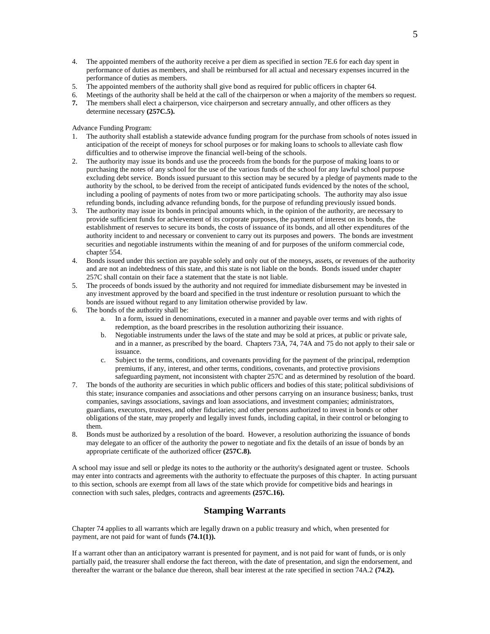- 4. The appointed members of the authority receive a per diem as specified in section 7E.6 for each day spent in performance of duties as members, and shall be reimbursed for all actual and necessary expenses incurred in the performance of duties as members.
- 5. The appointed members of the authority shall give bond as required for public officers in chapter 64.
- 6. Meetings of the authority shall be held at the call of the chairperson or when a majority of the members so request.
- **7.** The members shall elect a chairperson, vice chairperson and secretary annually, and other officers as they determine necessary **(257C.5).**

Advance Funding Program:

- 1. The authority shall establish a statewide advance funding program for the purchase from schools of notes issued in anticipation of the receipt of moneys for school purposes or for making loans to schools to alleviate cash flow difficulties and to otherwise improve the financial well-being of the schools.
- 2. The authority may issue its bonds and use the proceeds from the bonds for the purpose of making loans to or purchasing the notes of any school for the use of the various funds of the school for any lawful school purpose excluding debt service. Bonds issued pursuant to this section may be secured by a pledge of payments made to the authority by the school, to be derived from the receipt of anticipated funds evidenced by the notes of the school, including a pooling of payments of notes from two or more participating schools. The authority may also issue refunding bonds, including advance refunding bonds, for the purpose of refunding previously issued bonds.
- 3. The authority may issue its bonds in principal amounts which, in the opinion of the authority, are necessary to provide sufficient funds for achievement of its corporate purposes, the payment of interest on its bonds, the establishment of reserves to secure its bonds, the costs of issuance of its bonds, and all other expenditures of the authority incident to and necessary or convenient to carry out its purposes and powers. The bonds are investment securities and negotiable instruments within the meaning of and for purposes of the uniform commercial code, chapter 554.
- 4. Bonds issued under this section are payable solely and only out of the moneys, assets, or revenues of the authority and are not an indebtedness of this state, and this state is not liable on the bonds. Bonds issued under chapter 257C shall contain on their face a statement that the state is not liable.
- 5. The proceeds of bonds issued by the authority and not required for immediate disbursement may be invested in any investment approved by the board and specified in the trust indenture or resolution pursuant to which the bonds are issued without regard to any limitation otherwise provided by law.
- 6. The bonds of the authority shall be:
	- a. In a form, issued in denominations, executed in a manner and payable over terms and with rights of redemption, as the board prescribes in the resolution authorizing their issuance.
	- b. Negotiable instruments under the laws of the state and may be sold at prices, at public or private sale, and in a manner, as prescribed by the board. Chapters 73A, 74, 74A and 75 do not apply to their sale or issuance.
	- c. Subject to the terms, conditions, and covenants providing for the payment of the principal, redemption premiums, if any, interest, and other terms, conditions, covenants, and protective provisions safeguarding payment, not inconsistent with chapter 257C and as determined by resolution of the board.
- 7. The bonds of the authority are securities in which public officers and bodies of this state; political subdivisions of this state; insurance companies and associations and other persons carrying on an insurance business; banks, trust companies, savings associations, savings and loan associations, and investment companies; administrators, guardians, executors, trustees, and other fiduciaries; and other persons authorized to invest in bonds or other obligations of the state, may properly and legally invest funds, including capital, in their control or belonging to them.
- 8. Bonds must be authorized by a resolution of the board. However, a resolution authorizing the issuance of bonds may delegate to an officer of the authority the power to negotiate and fix the details of an issue of bonds by an appropriate certificate of the authorized officer **(257C.8).**

A school may issue and sell or pledge its notes to the authority or the authority's designated agent or trustee. Schools may enter into contracts and agreements with the authority to effectuate the purposes of this chapter. In acting pursuant to this section, schools are exempt from all laws of the state which provide for competitive bids and hearings in connection with such sales, pledges, contracts and agreements **(257C.16).**

# **Stamping Warrants**

Chapter 74 applies to all warrants which are legally drawn on a public treasury and which, when presented for payment, are not paid for want of funds **(74.1(1)).** 

If a warrant other than an anticipatory warrant is presented for payment, and is not paid for want of funds, or is only partially paid, the treasurer shall endorse the fact thereon, with the date of presentation, and sign the endorsement, and thereafter the warrant or the balance due thereon, shall bear interest at the rate specified in section 74A.2 **(74.2).**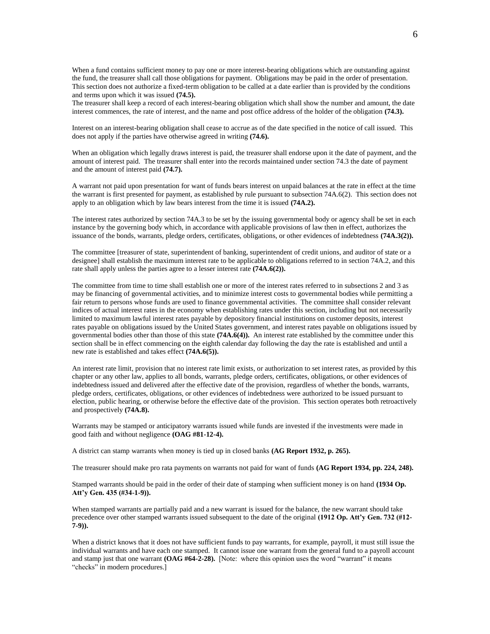When a fund contains sufficient money to pay one or more interest-bearing obligations which are outstanding against the fund, the treasurer shall call those obligations for payment. Obligations may be paid in the order of presentation. This section does not authorize a fixed-term obligation to be called at a date earlier than is provided by the conditions and terms upon which it was issued **(74.5).**

The treasurer shall keep a record of each interest-bearing obligation which shall show the number and amount, the date interest commences, the rate of interest, and the name and post office address of the holder of the obligation **(74.3).**

Interest on an interest-bearing obligation shall cease to accrue as of the date specified in the notice of call issued. This does not apply if the parties have otherwise agreed in writing **(74.6).**

When an obligation which legally draws interest is paid, the treasurer shall endorse upon it the date of payment, and the amount of interest paid. The treasurer shall enter into the records maintained under section 74.3 the date of payment and the amount of interest paid **(74.7).**

A warrant not paid upon presentation for want of funds bears interest on unpaid balances at the rate in effect at the time the warrant is first presented for payment, as established by rule pursuant to subsection 74A.6(2). This section does not apply to an obligation which by law bears interest from the time it is issued **(74A.2).**

The interest rates authorized by section 74A.3 to be set by the issuing governmental body or agency shall be set in each instance by the governing body which, in accordance with applicable provisions of law then in effect, authorizes the issuance of the bonds, warrants, pledge orders, certificates, obligations, or other evidences of indebtedness **(74A.3(2)).**

The committee [treasurer of state, superintendent of banking, superintendent of credit unions, and auditor of state or a designee] shall establish the maximum interest rate to be applicable to obligations referred to in section 74A.2, and this rate shall apply unless the parties agree to a lesser interest rate **(74A.6(2)).**

The committee from time to time shall establish one or more of the interest rates referred to in subsections 2 and 3 as may be financing of governmental activities, and to minimize interest costs to governmental bodies while permitting a fair return to persons whose funds are used to finance governmental activities. The committee shall consider relevant indices of actual interest rates in the economy when establishing rates under this section, including but not necessarily limited to maximum lawful interest rates payable by depository financial institutions on customer deposits, interest rates payable on obligations issued by the United States government, and interest rates payable on obligations issued by governmental bodies other than those of this state **(74A.6(4)).** An interest rate established by the committee under this section shall be in effect commencing on the eighth calendar day following the day the rate is established and until a new rate is established and takes effect **(74A.6(5)).**

An interest rate limit, provision that no interest rate limit exists, or authorization to set interest rates, as provided by this chapter or any other law, applies to all bonds, warrants, pledge orders, certificates, obligations, or other evidences of indebtedness issued and delivered after the effective date of the provision, regardless of whether the bonds, warrants, pledge orders, certificates, obligations, or other evidences of indebtedness were authorized to be issued pursuant to election, public hearing, or otherwise before the effective date of the provision. This section operates both retroactively and prospectively **(74A.8).**

Warrants may be stamped or anticipatory warrants issued while funds are invested if the investments were made in good faith and without negligence **(OAG #81-12-4).**

A district can stamp warrants when money is tied up in closed banks **(AG Report 1932, p. 265).**

The treasurer should make pro rata payments on warrants not paid for want of funds **(AG Report 1934, pp. 224, 248).**

Stamped warrants should be paid in the order of their date of stamping when sufficient money is on hand **(1934 Op. Att'y Gen. 435 (#34-1-9)).**

When stamped warrants are partially paid and a new warrant is issued for the balance, the new warrant should take precedence over other stamped warrants issued subsequent to the date of the original **(1912 Op. Att'y Gen. 732 (#12- 7-9)).**

When a district knows that it does not have sufficient funds to pay warrants, for example, payroll, it must still issue the individual warrants and have each one stamped. It cannot issue one warrant from the general fund to a payroll account and stamp just that one warrant **(OAG #64-2-28).** [Note: where this opinion uses the word "warrant" it means "checks" in modern procedures.]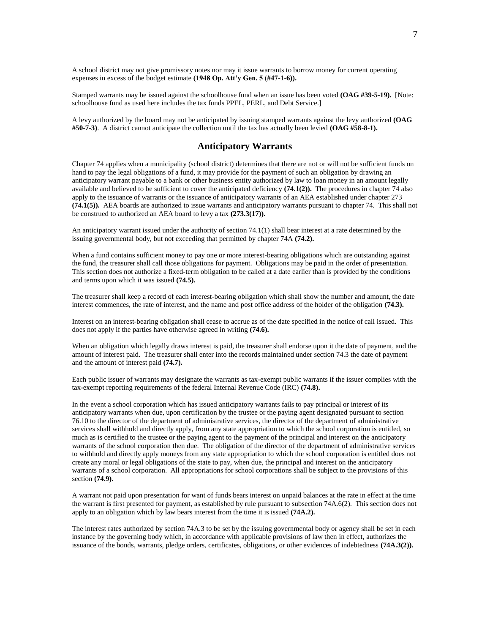A school district may not give promissory notes nor may it issue warrants to borrow money for current operating expenses in excess of the budget estimate **(1948 Op. Att'y Gen. 5 (#47-1-6)).**

Stamped warrants may be issued against the schoolhouse fund when an issue has been voted **(OAG #39-5-19).** [Note: schoolhouse fund as used here includes the tax funds PPEL, PERL, and Debt Service.]

A levy authorized by the board may not be anticipated by issuing stamped warrants against the levy authorized **(OAG #50-7-3)**. A district cannot anticipate the collection until the tax has actually been levied **(OAG #58-8-1).**

## **Anticipatory Warrants**

Chapter 74 applies when a municipality (school district) determines that there are not or will not be sufficient funds on hand to pay the legal obligations of a fund, it may provide for the payment of such an obligation by drawing an anticipatory warrant payable to a bank or other business entity authorized by law to loan money in an amount legally available and believed to be sufficient to cover the anticipated deficiency **(74.1(2)).** The procedures in chapter 74 also apply to the issuance of warrants or the issuance of anticipatory warrants of an AEA established under chapter 273 **(74.1(5)).** AEA boards are authorized to issue warrants and anticipatory warrants pursuant to chapter 74. This shall not be construed to authorized an AEA board to levy a tax **(273.3(17)).**

An anticipatory warrant issued under the authority of section 74.1(1) shall bear interest at a rate determined by the issuing governmental body, but not exceeding that permitted by chapter 74A **(74.2).**

When a fund contains sufficient money to pay one or more interest-bearing obligations which are outstanding against the fund, the treasurer shall call those obligations for payment. Obligations may be paid in the order of presentation. This section does not authorize a fixed-term obligation to be called at a date earlier than is provided by the conditions and terms upon which it was issued **(74.5).**

The treasurer shall keep a record of each interest-bearing obligation which shall show the number and amount, the date interest commences, the rate of interest, and the name and post office address of the holder of the obligation **(74.3).**

Interest on an interest-bearing obligation shall cease to accrue as of the date specified in the notice of call issued. This does not apply if the parties have otherwise agreed in writing **(74.6).**

When an obligation which legally draws interest is paid, the treasurer shall endorse upon it the date of payment, and the amount of interest paid. The treasurer shall enter into the records maintained under section 74.3 the date of payment and the amount of interest paid **(74.7).**

Each public issuer of warrants may designate the warrants as tax-exempt public warrants if the issuer complies with the tax-exempt reporting requirements of the federal Internal Revenue Code (IRC) **(74.8).**

In the event a school corporation which has issued anticipatory warrants fails to pay principal or interest of its anticipatory warrants when due, upon certification by the trustee or the paying agent designated pursuant to section 76.10 to the director of the department of administrative services, the director of the department of administrative services shall withhold and directly apply, from any state appropriation to which the school corporation is entitled, so much as is certified to the trustee or the paying agent to the payment of the principal and interest on the anticipatory warrants of the school corporation then due. The obligation of the director of the department of administrative services to withhold and directly apply moneys from any state appropriation to which the school corporation is entitled does not create any moral or legal obligations of the state to pay, when due, the principal and interest on the anticipatory warrants of a school corporation. All appropriations for school corporations shall be subject to the provisions of this section **(74.9).**

A warrant not paid upon presentation for want of funds bears interest on unpaid balances at the rate in effect at the time the warrant is first presented for payment, as established by rule pursuant to subsection 74A.6(2). This section does not apply to an obligation which by law bears interest from the time it is issued **(74A.2).**

The interest rates authorized by section 74A.3 to be set by the issuing governmental body or agency shall be set in each instance by the governing body which, in accordance with applicable provisions of law then in effect, authorizes the issuance of the bonds, warrants, pledge orders, certificates, obligations, or other evidences of indebtedness **(74A.3(2)).**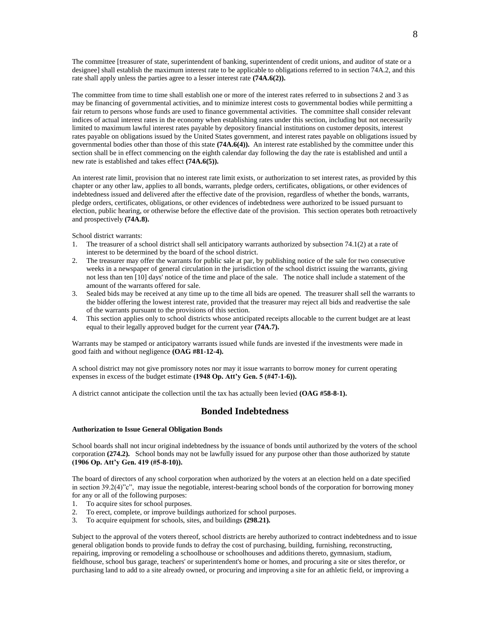The committee [treasurer of state, superintendent of banking, superintendent of credit unions, and auditor of state or a designee] shall establish the maximum interest rate to be applicable to obligations referred to in section 74A.2, and this rate shall apply unless the parties agree to a lesser interest rate **(74A.6(2)).**

The committee from time to time shall establish one or more of the interest rates referred to in subsections 2 and 3 as may be financing of governmental activities, and to minimize interest costs to governmental bodies while permitting a fair return to persons whose funds are used to finance governmental activities. The committee shall consider relevant indices of actual interest rates in the economy when establishing rates under this section, including but not necessarily limited to maximum lawful interest rates payable by depository financial institutions on customer deposits, interest rates payable on obligations issued by the United States government, and interest rates payable on obligations issued by governmental bodies other than those of this state **(74A.6(4)).** An interest rate established by the committee under this section shall be in effect commencing on the eighth calendar day following the day the rate is established and until a new rate is established and takes effect **(74A.6(5)).**

An interest rate limit, provision that no interest rate limit exists, or authorization to set interest rates, as provided by this chapter or any other law, applies to all bonds, warrants, pledge orders, certificates, obligations, or other evidences of indebtedness issued and delivered after the effective date of the provision, regardless of whether the bonds, warrants, pledge orders, certificates, obligations, or other evidences of indebtedness were authorized to be issued pursuant to election, public hearing, or otherwise before the effective date of the provision. This section operates both retroactively and prospectively **(74A.8).**

School district warrants:

- 1. The treasurer of a school district shall sell anticipatory warrants authorized by subsection 74.1(2) at a rate of interest to be determined by the board of the school district.
- 2. The treasurer may offer the warrants for public sale at par, by publishing notice of the sale for two consecutive weeks in a newspaper of general circulation in the jurisdiction of the school district issuing the warrants, giving not less than ten [10] days' notice of the time and place of the sale. The notice shall include a statement of the amount of the warrants offered for sale.
- 3. Sealed bids may be received at any time up to the time all bids are opened. The treasurer shall sell the warrants to the bidder offering the lowest interest rate, provided that the treasurer may reject all bids and readvertise the sale of the warrants pursuant to the provisions of this section.
- 4. This section applies only to school districts whose anticipated receipts allocable to the current budget are at least equal to their legally approved budget for the current year **(74A.7).**

Warrants may be stamped or anticipatory warrants issued while funds are invested if the investments were made in good faith and without negligence **(OAG #81-12-4).**

A school district may not give promissory notes nor may it issue warrants to borrow money for current operating expenses in excess of the budget estimate **(1948 Op. Att'y Gen. 5 (#47-1-6)).**

A district cannot anticipate the collection until the tax has actually been levied **(OAG #58-8-1).**

### **Bonded Indebtedness**

#### **Authorization to Issue General Obligation Bonds**

School boards shall not incur original indebtedness by the issuance of bonds until authorized by the voters of the school corporation **(274.2).** School bonds may not be lawfully issued for any purpose other than those authorized by statute **(1906 Op. Att'y Gen. 419 (#5-8-10)).**

The board of directors of any school corporation when authorized by the voters at an election held on a date specified in section 39.2(4)"c", may issue the negotiable, interest-bearing school bonds of the corporation for borrowing money for any or all of the following purposes:

- 1. To acquire sites for school purposes.
- 2. To erect, complete, or improve buildings authorized for school purposes.
- 3. To acquire equipment for schools, sites, and buildings **(298.21).**

Subject to the approval of the voters thereof, school districts are hereby authorized to contract indebtedness and to issue general obligation bonds to provide funds to defray the cost of purchasing, building, furnishing, reconstructing, repairing, improving or remodeling a schoolhouse or schoolhouses and additions thereto, gymnasium, stadium, fieldhouse, school bus garage, teachers' or superintendent's home or homes, and procuring a site or sites therefor, or purchasing land to add to a site already owned, or procuring and improving a site for an athletic field, or improving a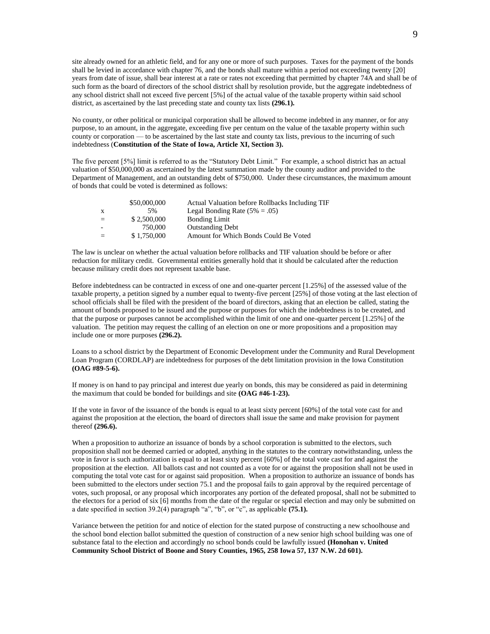site already owned for an athletic field, and for any one or more of such purposes. Taxes for the payment of the bonds shall be levied in accordance with chapter 76, and the bonds shall mature within a period not exceeding twenty [20] years from date of issue, shall bear interest at a rate or rates not exceeding that permitted by chapter 74A and shall be of such form as the board of directors of the school district shall by resolution provide, but the aggregate indebtedness of any school district shall not exceed five percent [5%] of the actual value of the taxable property within said school district, as ascertained by the last preceding state and county tax lists **(296.1).**

No county, or other political or municipal corporation shall be allowed to become indebted in any manner, or for any purpose, to an amount, in the aggregate, exceeding five per centum on the value of the taxable property within such county or corporation — to be ascertained by the last state and county tax lists, previous to the incurring of such indebtedness (**Constitution of the State of Iowa, Article XI, Section 3).**

The five percent [5%] limit is referred to as the "Statutory Debt Limit." For example, a school district has an actual valuation of \$50,000,000 as ascertained by the latest summation made by the county auditor and provided to the Department of Management, and an outstanding debt of \$750,000. Under these circumstances, the maximum amount of bonds that could be voted is determined as follows:

|              | \$50,000,000 | Actual Valuation before Rollbacks Including TIF |
|--------------|--------------|-------------------------------------------------|
| $\mathbf{x}$ | 5%           | Legal Bonding Rate $(5\% = .05)$                |
| $-$          | \$2,500,000  | <b>Bonding Limit</b>                            |
|              | 750,000      | <b>Outstanding Debt</b>                         |
|              | \$1,750,000  | Amount for Which Bonds Could Be Voted           |

The law is unclear on whether the actual valuation before rollbacks and TIF valuation should be before or after reduction for military credit. Governmental entities generally hold that it should be calculated after the reduction because military credit does not represent taxable base.

Before indebtedness can be contracted in excess of one and one-quarter percent [1.25%] of the assessed value of the taxable property, a petition signed by a number equal to twenty-five percent [25%] of those voting at the last election of school officials shall be filed with the president of the board of directors, asking that an election be called, stating the amount of bonds proposed to be issued and the purpose or purposes for which the indebtedness is to be created, and that the purpose or purposes cannot be accomplished within the limit of one and one-quarter percent [1.25%] of the valuation. The petition may request the calling of an election on one or more propositions and a proposition may include one or more purposes **(296.2).**

Loans to a school district by the Department of Economic Development under the Community and Rural Development Loan Program (CORDLAP) are indebtedness for purposes of the debt limitation provision in the Iowa Constitution **(OAG #89-5-6).**

If money is on hand to pay principal and interest due yearly on bonds, this may be considered as paid in determining the maximum that could be bonded for buildings and site **(OAG #46-1-23).**

If the vote in favor of the issuance of the bonds is equal to at least sixty percent [60%] of the total vote cast for and against the proposition at the election, the board of directors shall issue the same and make provision for payment thereof **(296.6).**

When a proposition to authorize an issuance of bonds by a school corporation is submitted to the electors, such proposition shall not be deemed carried or adopted, anything in the statutes to the contrary notwithstanding, unless the vote in favor is such authorization is equal to at least sixty percent [60%] of the total vote cast for and against the proposition at the election. All ballots cast and not counted as a vote for or against the proposition shall not be used in computing the total vote cast for or against said proposition. When a proposition to authorize an issuance of bonds has been submitted to the electors under section 75.1 and the proposal fails to gain approval by the required percentage of votes, such proposal, or any proposal which incorporates any portion of the defeated proposal, shall not be submitted to the electors for a period of six [6] months from the date of the regular or special election and may only be submitted on a date specified in section 39.2(4) paragraph "a", "b", or "c", as applicable **(75.1).**

Variance between the petition for and notice of election for the stated purpose of constructing a new schoolhouse and the school bond election ballot submitted the question of construction of a new senior high school building was one of substance fatal to the election and accordingly no school bonds could be lawfully issued **(Honohan v. United Community School District of Boone and Story Counties, 1965, 258 Iowa 57, 137 N.W. 2d 601).**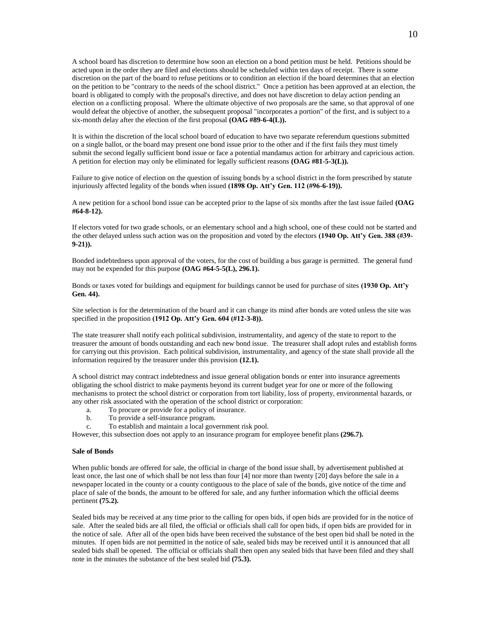A school board has discretion to determine how soon an election on a bond petition must be held. Petitions should be acted upon in the order they are filed and elections should be scheduled within ten days of receipt. There is some discretion on the part of the board to refuse petitions or to condition an election if the board determines that an election on the petition to be "contrary to the needs of the school district." Once a petition has been approved at an election, the board is obligated to comply with the proposal's directive, and does not have discretion to delay action pending an election on a conflicting proposal. Where the ultimate objective of two proposals are the same, so that approval of one would defeat the objective of another, the subsequent proposal "incorporates a portion" of the first, and is subject to a six-month delay after the election of the first proposal **(OAG #89-6-4(L)).**

It is within the discretion of the local school board of education to have two separate referendum questions submitted on a single ballot, or the board may present one bond issue prior to the other and if the first fails they must timely submit the second legally sufficient bond issue or face a potential mandamus action for arbitrary and capricious action. A petition for election may only be eliminated for legally sufficient reasons **(OAG #81-5-3(L)).**

Failure to give notice of election on the question of issuing bonds by a school district in the form prescribed by statute injuriously affected legality of the bonds when issued **(1898 Op. Att'y Gen. 112 (#96-6-19)).**

A new petition for a school bond issue can be accepted prior to the lapse of six months after the last issue failed **(OAG #64-8-12).**

If electors voted for two grade schools, or an elementary school and a high school, one of these could not be started and the other delayed unless such action was on the proposition and voted by the electors **(1940 Op. Att'y Gen. 388 (#39- 9-21)).**

Bonded indebtedness upon approval of the voters, for the cost of building a bus garage is permitted. The general fund may not be expended for this purpose **(OAG #64-5-5(L), 296.1).**

Bonds or taxes voted for buildings and equipment for buildings cannot be used for purchase of sites **(1930 Op. Att'y Gen. 44).**

Site selection is for the determination of the board and it can change its mind after bonds are voted unless the site was specified in the proposition **(1912 Op. Att'y Gen. 604 (#12-3-8)).**

The state treasurer shall notify each political subdivision, instrumentality, and agency of the state to report to the treasurer the amount of bonds outstanding and each new bond issue. The treasurer shall adopt rules and establish forms for carrying out this provision. Each political subdivision, instrumentality, and agency of the state shall provide all the information required by the treasurer under this provision **(12.1).**

A school district may contract indebtedness and issue general obligation bonds or enter into insurance agreements obligating the school district to make payments beyond its current budget year for one or more of the following mechanisms to protect the school district or corporation from tort liability, loss of property, environmental hazards, or any other risk associated with the operation of the school district or corporation:

- a. To procure or provide for a policy of insurance.
- b. To provide a self-insurance program.
- c. To establish and maintain a local government risk pool.

However, this subsection does not apply to an insurance program for employee benefit plans **(296.7).**

#### **Sale of Bonds**

When public bonds are offered for sale, the official in charge of the bond issue shall, by advertisement published at least once, the last one of which shall be not less than four [4] nor more than twenty [20] days before the sale in a newspaper located in the county or a county contiguous to the place of sale of the bonds, give notice of the time and place of sale of the bonds, the amount to be offered for sale, and any further information which the official deems pertinent **(75.2).**

Sealed bids may be received at any time prior to the calling for open bids, if open bids are provided for in the notice of sale. After the sealed bids are all filed, the official or officials shall call for open bids, if open bids are provided for in the notice of sale. After all of the open bids have been received the substance of the best open bid shall be noted in the minutes. If open bids are not permitted in the notice of sale, sealed bids may be received until it is announced that all sealed bids shall be opened. The official or officials shall then open any sealed bids that have been filed and they shall note in the minutes the substance of the best sealed bid **(75.3).**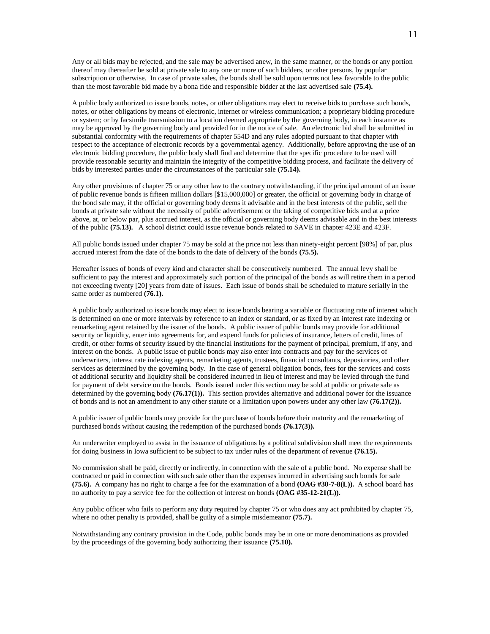Any or all bids may be rejected, and the sale may be advertised anew, in the same manner, or the bonds or any portion thereof may thereafter be sold at private sale to any one or more of such bidders, or other persons, by popular subscription or otherwise. In case of private sales, the bonds shall be sold upon terms not less favorable to the public than the most favorable bid made by a bona fide and responsible bidder at the last advertised sale **(75.4).**

A public body authorized to issue bonds, notes, or other obligations may elect to receive bids to purchase such bonds, notes, or other obligations by means of electronic, internet or wireless communication; a proprietary bidding procedure or system; or by facsimile transmission to a location deemed appropriate by the governing body, in each instance as may be approved by the governing body and provided for in the notice of sale. An electronic bid shall be submitted in substantial conformity with the requirements of chapter 554D and any rules adopted pursuant to that chapter with respect to the acceptance of electronic records by a governmental agency. Additionally, before approving the use of an electronic bidding procedure, the public body shall find and determine that the specific procedure to be used will provide reasonable security and maintain the integrity of the competitive bidding process, and facilitate the delivery of bids by interested parties under the circumstances of the particular sale **(75.14).**

Any other provisions of chapter 75 or any other law to the contrary notwithstanding, if the principal amount of an issue of public revenue bonds is fifteen million dollars [\$15,000,000] or greater, the official or governing body in charge of the bond sale may, if the official or governing body deems it advisable and in the best interests of the public, sell the bonds at private sale without the necessity of public advertisement or the taking of competitive bids and at a price above, at, or below par, plus accrued interest, as the official or governing body deems advisable and in the best interests of the public **(75.13).** A school district could issue revenue bonds related to SAVE in chapter 423E and 423F.

All public bonds issued under chapter 75 may be sold at the price not less than ninety-eight percent [98%] of par, plus accrued interest from the date of the bonds to the date of delivery of the bonds **(75.5).**

Hereafter issues of bonds of every kind and character shall be consecutively numbered. The annual levy shall be sufficient to pay the interest and approximately such portion of the principal of the bonds as will retire them in a period not exceeding twenty [20] years from date of issues. Each issue of bonds shall be scheduled to mature serially in the same order as numbered **(76.1).**

A public body authorized to issue bonds may elect to issue bonds bearing a variable or fluctuating rate of interest which is determined on one or more intervals by reference to an index or standard, or as fixed by an interest rate indexing or remarketing agent retained by the issuer of the bonds. A public issuer of public bonds may provide for additional security or liquidity, enter into agreements for, and expend funds for policies of insurance, letters of credit, lines of credit, or other forms of security issued by the financial institutions for the payment of principal, premium, if any, and interest on the bonds. A public issue of public bonds may also enter into contracts and pay for the services of underwriters, interest rate indexing agents, remarketing agents, trustees, financial consultants, depositories, and other services as determined by the governing body. In the case of general obligation bonds, fees for the services and costs of additional security and liquidity shall be considered incurred in lieu of interest and may be levied through the fund for payment of debt service on the bonds. Bonds issued under this section may be sold at public or private sale as determined by the governing body **(76.17(1)).** This section provides alternative and additional power for the issuance of bonds and is not an amendment to any other statute or a limitation upon powers under any other law **(76.17(2)).**

A public issuer of public bonds may provide for the purchase of bonds before their maturity and the remarketing of purchased bonds without causing the redemption of the purchased bonds **(76.17(3)).**

An underwriter employed to assist in the issuance of obligations by a political subdivision shall meet the requirements for doing business in Iowa sufficient to be subject to tax under rules of the department of revenue **(76.15).**

No commission shall be paid, directly or indirectly, in connection with the sale of a public bond. No expense shall be contracted or paid in connection with such sale other than the expenses incurred in advertising such bonds for sale **(75.6).** A company has no right to charge a fee for the examination of a bond **(OAG #30-7-8(L)).** A school board has no authority to pay a service fee for the collection of interest on bonds **(OAG #35-12-21(L)).**

Any public officer who fails to perform any duty required by chapter 75 or who does any act prohibited by chapter 75, where no other penalty is provided, shall be guilty of a simple misdemeanor **(75.7).**

Notwithstanding any contrary provision in the Code, public bonds may be in one or more denominations as provided by the proceedings of the governing body authorizing their issuance **(75.10).**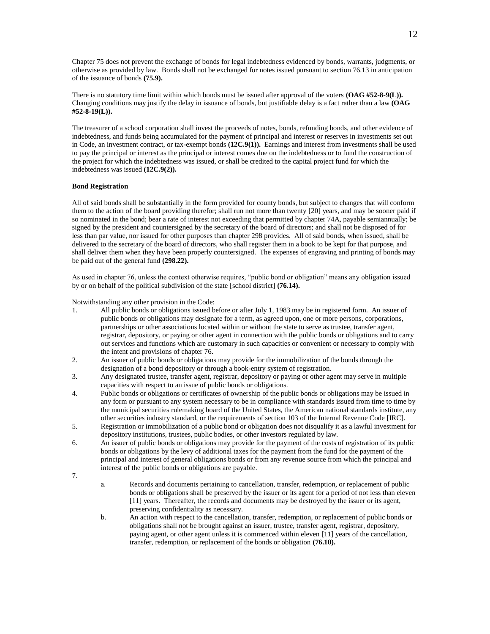Chapter 75 does not prevent the exchange of bonds for legal indebtedness evidenced by bonds, warrants, judgments, or otherwise as provided by law. Bonds shall not be exchanged for notes issued pursuant to section 76.13 in anticipation of the issuance of bonds **(75.9).**

There is no statutory time limit within which bonds must be issued after approval of the voters **(OAG #52-8-9(L)).** Changing conditions may justify the delay in issuance of bonds, but justifiable delay is a fact rather than a law **(OAG #52-8-19(L)).**

The treasurer of a school corporation shall invest the proceeds of notes, bonds, refunding bonds, and other evidence of indebtedness, and funds being accumulated for the payment of principal and interest or reserves in investments set out in Code, an investment contract, or tax-exempt bonds **(12C.9(1)).** Earnings and interest from investments shall be used to pay the principal or interest as the principal or interest comes due on the indebtedness or to fund the construction of the project for which the indebtedness was issued, or shall be credited to the capital project fund for which the indebtedness was issued **(12C.9(2)).**

### **Bond Registration**

All of said bonds shall be substantially in the form provided for county bonds, but subject to changes that will conform them to the action of the board providing therefor; shall run not more than twenty [20] years, and may be sooner paid if so nominated in the bond; bear a rate of interest not exceeding that permitted by chapter 74A, payable semiannually; be signed by the president and countersigned by the secretary of the board of directors; and shall not be disposed of for less than par value, nor issued for other purposes than chapter 298 provides. All of said bonds, when issued, shall be delivered to the secretary of the board of directors, who shall register them in a book to be kept for that purpose, and shall deliver them when they have been properly countersigned. The expenses of engraving and printing of bonds may be paid out of the general fund **(298.22).**

As used in chapter 76, unless the context otherwise requires, "public bond or obligation" means any obligation issued by or on behalf of the political subdivision of the state [school district] **(76.14).**

Notwithstanding any other provision in the Code:

- 1. All public bonds or obligations issued before or after July 1, 1983 may be in registered form. An issuer of public bonds or obligations may designate for a term, as agreed upon, one or more persons, corporations, partnerships or other associations located within or without the state to serve as trustee, transfer agent, registrar, depository, or paying or other agent in connection with the public bonds or obligations and to carry out services and functions which are customary in such capacities or convenient or necessary to comply with the intent and provisions of chapter 76.
- 2. An issuer of public bonds or obligations may provide for the immobilization of the bonds through the designation of a bond depository or through a book-entry system of registration.
- 3. Any designated trustee, transfer agent, registrar, depository or paying or other agent may serve in multiple capacities with respect to an issue of public bonds or obligations.
- 4. Public bonds or obligations or certificates of ownership of the public bonds or obligations may be issued in any form or pursuant to any system necessary to be in compliance with standards issued from time to time by the municipal securities rulemaking board of the United States, the American national standards institute, any other securities industry standard, or the requirements of section 103 of the Internal Revenue Code [IRC].
- 5. Registration or immobilization of a public bond or obligation does not disqualify it as a lawful investment for depository institutions, trustees, public bodies, or other investors regulated by law.
- 6. An issuer of public bonds or obligations may provide for the payment of the costs of registration of its public bonds or obligations by the levy of additional taxes for the payment from the fund for the payment of the principal and interest of general obligations bonds or from any revenue source from which the principal and interest of the public bonds or obligations are payable.
- 7.
- a. Records and documents pertaining to cancellation, transfer, redemption, or replacement of public bonds or obligations shall be preserved by the issuer or its agent for a period of not less than eleven [11] years. Thereafter, the records and documents may be destroyed by the issuer or its agent, preserving confidentiality as necessary.
- b. An action with respect to the cancellation, transfer, redemption, or replacement of public bonds or obligations shall not be brought against an issuer, trustee, transfer agent, registrar, depository, paying agent, or other agent unless it is commenced within eleven [11] years of the cancellation, transfer, redemption, or replacement of the bonds or obligation **(76.10).**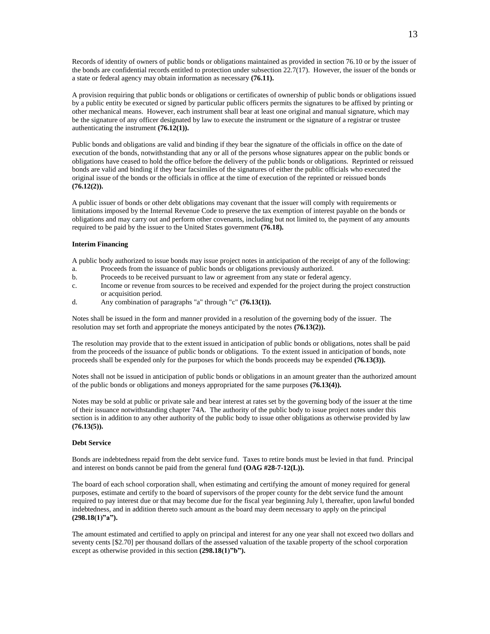Records of identity of owners of public bonds or obligations maintained as provided in section 76.10 or by the issuer of the bonds are confidential records entitled to protection under subsection 22.7(17). However, the issuer of the bonds or a state or federal agency may obtain information as necessary **(76.11).**

A provision requiring that public bonds or obligations or certificates of ownership of public bonds or obligations issued by a public entity be executed or signed by particular public officers permits the signatures to be affixed by printing or other mechanical means. However, each instrument shall bear at least one original and manual signature, which may be the signature of any officer designated by law to execute the instrument or the signature of a registrar or trustee authenticating the instrument **(76.12(1)).**

Public bonds and obligations are valid and binding if they bear the signature of the officials in office on the date of execution of the bonds, notwithstanding that any or all of the persons whose signatures appear on the public bonds or obligations have ceased to hold the office before the delivery of the public bonds or obligations. Reprinted or reissued bonds are valid and binding if they bear facsimiles of the signatures of either the public officials who executed the original issue of the bonds or the officials in office at the time of execution of the reprinted or reissued bonds **(76.12(2)).**

A public issuer of bonds or other debt obligations may covenant that the issuer will comply with requirements or limitations imposed by the Internal Revenue Code to preserve the tax exemption of interest payable on the bonds or obligations and may carry out and perform other covenants, including but not limited to, the payment of any amounts required to be paid by the issuer to the United States government **(76.18).**

#### **Interim Financing**

A public body authorized to issue bonds may issue project notes in anticipation of the receipt of any of the following:

- a. Proceeds from the issuance of public bonds or obligations previously authorized.
- b. Proceeds to be received pursuant to law or agreement from any state or federal agency.
- c. Income or revenue from sources to be received and expended for the project during the project construction or acquisition period.
- d. Any combination of paragraphs "a" through "c" **(76.13(1)).**

Notes shall be issued in the form and manner provided in a resolution of the governing body of the issuer. The resolution may set forth and appropriate the moneys anticipated by the notes **(76.13(2)).**

The resolution may provide that to the extent issued in anticipation of public bonds or obligations, notes shall be paid from the proceeds of the issuance of public bonds or obligations. To the extent issued in anticipation of bonds, note proceeds shall be expended only for the purposes for which the bonds proceeds may be expended **(76.13(3)).**

Notes shall not be issued in anticipation of public bonds or obligations in an amount greater than the authorized amount of the public bonds or obligations and moneys appropriated for the same purposes **(76.13(4)).**

Notes may be sold at public or private sale and bear interest at rates set by the governing body of the issuer at the time of their issuance notwithstanding chapter 74A. The authority of the public body to issue project notes under this section is in addition to any other authority of the public body to issue other obligations as otherwise provided by law **(76.13(5)).**

#### **Debt Service**

Bonds are indebtedness repaid from the debt service fund. Taxes to retire bonds must be levied in that fund. Principal and interest on bonds cannot be paid from the general fund **(OAG #28-7-12(L)).**

The board of each school corporation shall, when estimating and certifying the amount of money required for general purposes, estimate and certify to the board of supervisors of the proper county for the debt service fund the amount required to pay interest due or that may become due for the fiscal year beginning July l, thereafter, upon lawful bonded indebtedness, and in addition thereto such amount as the board may deem necessary to apply on the principal **(298.18(1)"a").**

The amount estimated and certified to apply on principal and interest for any one year shall not exceed two dollars and seventy cents [\$2.70] per thousand dollars of the assessed valuation of the taxable property of the school corporation except as otherwise provided in this section **(298.18(1)"b").**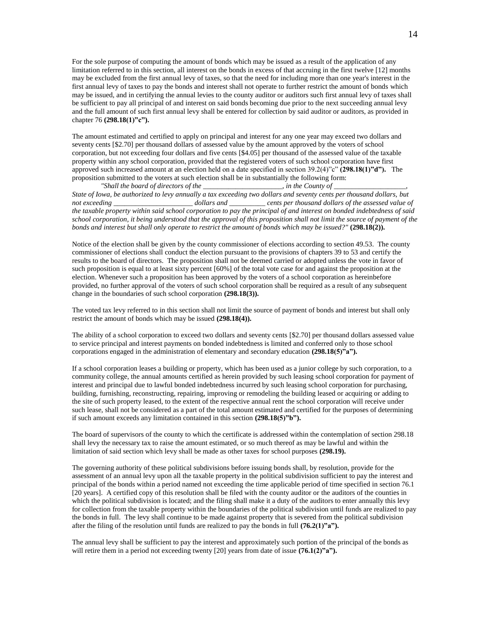For the sole purpose of computing the amount of bonds which may be issued as a result of the application of any limitation referred to in this section, all interest on the bonds in excess of that accruing in the first twelve [12] months may be excluded from the first annual levy of taxes, so that the need for including more than one year's interest in the first annual levy of taxes to pay the bonds and interest shall not operate to further restrict the amount of bonds which may be issued, and in certifying the annual levies to the county auditor or auditors such first annual levy of taxes shall be sufficient to pay all principal of and interest on said bonds becoming due prior to the next succeeding annual levy and the full amount of such first annual levy shall be entered for collection by said auditor or auditors, as provided in chapter 76 **(298.18(1)"c").**

The amount estimated and certified to apply on principal and interest for any one year may exceed two dollars and seventy cents [\$2.70] per thousand dollars of assessed value by the amount approved by the voters of school corporation, but not exceeding four dollars and five cents [\$4.05] per thousand of the assessed value of the taxable property within any school corporation, provided that the registered voters of such school corporation have first approved such increased amount at an election held on a date specified in section 39.2(4)"c" **(298.18(1)"d").** The proposition submitted to the voters at such election shall be in substantially the following form:

*"Shall the board of directors of the \_\_\_\_\_\_\_\_\_\_\_\_\_\_\_\_\_\_\_\_\_\_, in the County of \_\_\_\_\_\_\_\_\_\_\_\_\_\_\_\_\_\_\_\_, State of Iowa, be authorized to levy annually a tax exceeding two dollars and seventy cents per thousand dollars, but*  not exceeding \_\_\_\_\_\_\_\_\_\_\_\_\_\_\_\_\_\_\_\_\_\_\_ dollars and \_\_\_\_\_\_\_\_\_ cents per thousand dollars of the assessed value of *the taxable property within said school corporation to pay the principal of and interest on bonded indebtedness of said school corporation, it being understood that the approval of this proposition shall not limit the source of payment of the bonds and interest but shall only operate to restrict the amount of bonds which may be issued?"* **(298.18(2)).**

Notice of the election shall be given by the county commissioner of elections according to section 49.53. The county commissioner of elections shall conduct the election pursuant to the provisions of chapters 39 to 53 and certify the results to the board of directors. The proposition shall not be deemed carried or adopted unless the vote in favor of such proposition is equal to at least sixty percent [60%] of the total vote case for and against the proposition at the election. Whenever such a proposition has been approved by the voters of a school corporation as hereinbefore provided, no further approval of the voters of such school corporation shall be required as a result of any subsequent change in the boundaries of such school corporation **(298.18(3)).**

The voted tax levy referred to in this section shall not limit the source of payment of bonds and interest but shall only restrict the amount of bonds which may be issued **(298.18(4)).**

The ability of a school corporation to exceed two dollars and seventy cents [\$2.70] per thousand dollars assessed value to service principal and interest payments on bonded indebtedness is limited and conferred only to those school corporations engaged in the administration of elementary and secondary education **(298.18(5)"a").**

If a school corporation leases a building or property, which has been used as a junior college by such corporation, to a community college, the annual amounts certified as herein provided by such leasing school corporation for payment of interest and principal due to lawful bonded indebtedness incurred by such leasing school corporation for purchasing, building, furnishing, reconstructing, repairing, improving or remodeling the building leased or acquiring or adding to the site of such property leased, to the extent of the respective annual rent the school corporation will receive under such lease, shall not be considered as a part of the total amount estimated and certified for the purposes of determining if such amount exceeds any limitation contained in this section **(298.18(5)"b").**

The board of supervisors of the county to which the certificate is addressed within the contemplation of section 298.18 shall levy the necessary tax to raise the amount estimated, or so much thereof as may be lawful and within the limitation of said section which levy shall be made as other taxes for school purposes **(298.19).**

The governing authority of these political subdivisions before issuing bonds shall, by resolution, provide for the assessment of an annual levy upon all the taxable property in the political subdivision sufficient to pay the interest and principal of the bonds within a period named not exceeding the time applicable period of time specified in section 76.1 [20 years]. A certified copy of this resolution shall be filed with the county auditor or the auditors of the counties in which the political subdivision is located; and the filing shall make it a duty of the auditors to enter annually this levy for collection from the taxable property within the boundaries of the political subdivision until funds are realized to pay the bonds in full. The levy shall continue to be made against property that is severed from the political subdivision after the filing of the resolution until funds are realized to pay the bonds in full **(76.2(1)"a").**

The annual levy shall be sufficient to pay the interest and approximately such portion of the principal of the bonds as will retire them in a period not exceeding twenty [20] years from date of issue **(76.1(2)"a").**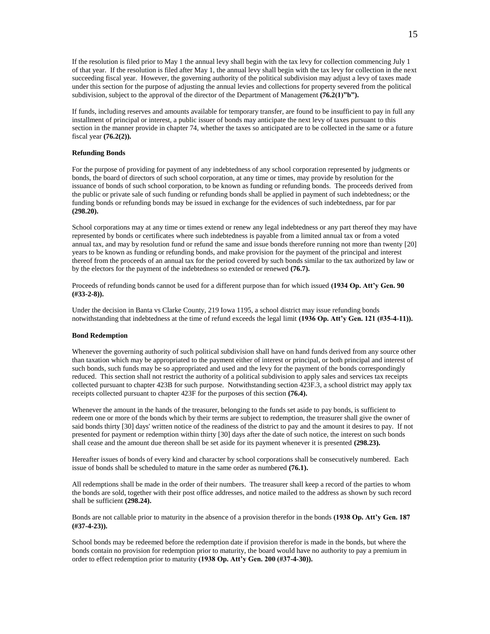If the resolution is filed prior to May 1 the annual levy shall begin with the tax levy for collection commencing July 1 of that year. If the resolution is filed after May 1, the annual levy shall begin with the tax levy for collection in the next succeeding fiscal year. However, the governing authority of the political subdivision may adjust a levy of taxes made under this section for the purpose of adjusting the annual levies and collections for property severed from the political subdivision, subject to the approval of the director of the Department of Management **(76.2(1)**"b").

If funds, including reserves and amounts available for temporary transfer, are found to be insufficient to pay in full any installment of principal or interest, a public issuer of bonds may anticipate the next levy of taxes pursuant to this section in the manner provide in chapter 74, whether the taxes so anticipated are to be collected in the same or a future fiscal year **(76.2(2)).**

#### **Refunding Bonds**

For the purpose of providing for payment of any indebtedness of any school corporation represented by judgments or bonds, the board of directors of such school corporation, at any time or times, may provide by resolution for the issuance of bonds of such school corporation, to be known as funding or refunding bonds. The proceeds derived from the public or private sale of such funding or refunding bonds shall be applied in payment of such indebtedness; or the funding bonds or refunding bonds may be issued in exchange for the evidences of such indebtedness, par for par **(298.20).**

School corporations may at any time or times extend or renew any legal indebtedness or any part thereof they may have represented by bonds or certificates where such indebtedness is payable from a limited annual tax or from a voted annual tax, and may by resolution fund or refund the same and issue bonds therefore running not more than twenty [20] years to be known as funding or refunding bonds, and make provision for the payment of the principal and interest thereof from the proceeds of an annual tax for the period covered by such bonds similar to the tax authorized by law or by the electors for the payment of the indebtedness so extended or renewed **(76.7).**

Proceeds of refunding bonds cannot be used for a different purpose than for which issued **(1934 Op. Att'y Gen. 90 (#33-2-8)).**

Under the decision in Banta vs Clarke County, 219 Iowa 1195, a school district may issue refunding bonds notwithstanding that indebtedness at the time of refund exceeds the legal limit **(1936 Op. Att'y Gen. 121 (#35-4-11)).** 

#### **Bond Redemption**

Whenever the governing authority of such political subdivision shall have on hand funds derived from any source other than taxation which may be appropriated to the payment either of interest or principal, or both principal and interest of such bonds, such funds may be so appropriated and used and the levy for the payment of the bonds correspondingly reduced. This section shall not restrict the authority of a political subdivision to apply sales and services tax receipts collected pursuant to chapter 423B for such purpose. Notwithstanding section 423F.3, a school district may apply tax receipts collected pursuant to chapter 423F for the purposes of this section **(76.4).**

Whenever the amount in the hands of the treasurer, belonging to the funds set aside to pay bonds, is sufficient to redeem one or more of the bonds which by their terms are subject to redemption, the treasurer shall give the owner of said bonds thirty [30] days' written notice of the readiness of the district to pay and the amount it desires to pay. If not presented for payment or redemption within thirty [30] days after the date of such notice, the interest on such bonds shall cease and the amount due thereon shall be set aside for its payment whenever it is presented **(298.23).**

Hereafter issues of bonds of every kind and character by school corporations shall be consecutively numbered. Each issue of bonds shall be scheduled to mature in the same order as numbered **(76.1).**

All redemptions shall be made in the order of their numbers. The treasurer shall keep a record of the parties to whom the bonds are sold, together with their post office addresses, and notice mailed to the address as shown by such record shall be sufficient **(298.24).**

Bonds are not callable prior to maturity in the absence of a provision therefor in the bonds **(1938 Op. Att'y Gen. 187 (#37-4-23)).**

School bonds may be redeemed before the redemption date if provision therefor is made in the bonds, but where the bonds contain no provision for redemption prior to maturity, the board would have no authority to pay a premium in order to effect redemption prior to maturity **(1938 Op. Att'y Gen. 200 (#37-4-30)).**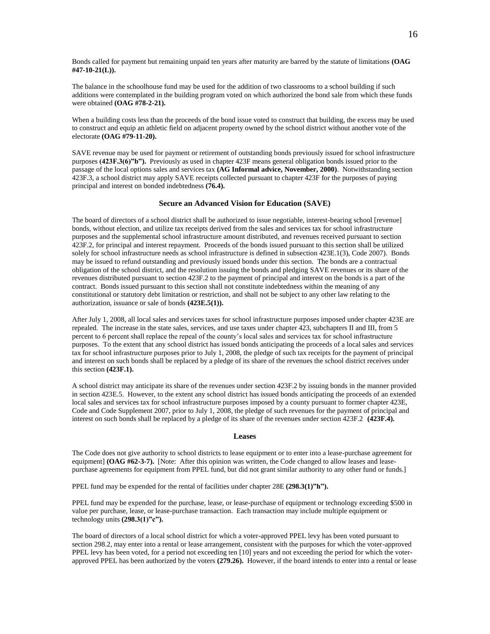Bonds called for payment but remaining unpaid ten years after maturity are barred by the statute of limitations **(OAG #47-10-21(L)).**

The balance in the schoolhouse fund may be used for the addition of two classrooms to a school building if such additions were contemplated in the building program voted on which authorized the bond sale from which these funds were obtained **(OAG #78-2-21).**

When a building costs less than the proceeds of the bond issue voted to construct that building, the excess may be used to construct and equip an athletic field on adjacent property owned by the school district without another vote of the electorate **(OAG #79-11-20).**

SAVE revenue may be used for payment or retirement of outstanding bonds previously issued for school infrastructure purposes **(423F.3(6)"b").** Previously as used in chapter 423F means general obligation bonds issued prior to the passage of the local options sales and services tax **(AG Informal advice, November, 2000)**. Notwithstanding section 423F.3, a school district may apply SAVE receipts collected pursuant to chapter 423F for the purposes of paying principal and interest on bonded indebtedness **(76.4).**

### **Secure an Advanced Vision for Education (SAVE)**

The board of directors of a school district shall be authorized to issue negotiable, interest-bearing school [revenue] bonds, without election, and utilize tax receipts derived from the sales and services tax for school infrastructure purposes and the supplemental school infrastructure amount distributed, and revenues received pursuant to section 423F.2, for principal and interest repayment. Proceeds of the bonds issued pursuant to this section shall be utilized solely for school infrastructure needs as school infrastructure is defined in subsection 423E.1(3), Code 2007). Bonds may be issued to refund outstanding and previously issued bonds under this section. The bonds are a contractual obligation of the school district, and the resolution issuing the bonds and pledging SAVE revenues or its share of the revenues distributed pursuant to section 423F.2 to the payment of principal and interest on the bonds is a part of the contract. Bonds issued pursuant to this section shall not constitute indebtedness within the meaning of any constitutional or statutory debt limitation or restriction, and shall not be subject to any other law relating to the authorization, issuance or sale of bonds **(423E.5(1)).**

After July 1, 2008, all local sales and services taxes for school infrastructure purposes imposed under chapter 423E are repealed. The increase in the state sales, services, and use taxes under chapter 423, subchapters II and III, from 5 percent to 6 percent shall replace the repeal of the county's local sales and services tax for school infrastructure purposes. To the extent that any school district has issued bonds anticipating the proceeds of a local sales and services tax for school infrastructure purposes prior to July 1, 2008, the pledge of such tax receipts for the payment of principal and interest on such bonds shall be replaced by a pledge of its share of the revenues the school district receives under this section **(423F.1).**

A school district may anticipate its share of the revenues under section 423F.2 by issuing bonds in the manner provided in section 423E.5. However, to the extent any school district has issued bonds anticipating the proceeds of an extended local sales and services tax for school infrastructure purposes imposed by a county pursuant to former chapter 423E, Code and Code Supplement 2007, prior to July 1, 2008, the pledge of such revenues for the payment of principal and interest on such bonds shall be replaced by a pledge of its share of the revenues under section 423F.2 **(423F.4).**

#### **Leases**

The Code does not give authority to school districts to lease equipment or to enter into a lease-purchase agreement for equipment] **(OAG #62-3-7).** [Note: After this opinion was written, the Code changed to allow leases and leasepurchase agreements for equipment from PPEL fund, but did not grant similar authority to any other fund or funds.]

PPEL fund may be expended for the rental of facilities under chapter 28E **(298.3(1)"h").**

PPEL fund may be expended for the purchase, lease, or lease-purchase of equipment or technology exceeding \$500 in value per purchase, lease, or lease-purchase transaction. Each transaction may include multiple equipment or technology units **(298.3(1)"c").**

The board of directors of a local school district for which a voter-approved PPEL levy has been voted pursuant to section 298.2, may enter into a rental or lease arrangement, consistent with the purposes for which the voter-approved PPEL levy has been voted, for a period not exceeding ten [10] years and not exceeding the period for which the voterapproved PPEL has been authorized by the voters **(279.26).** However, if the board intends to enter into a rental or lease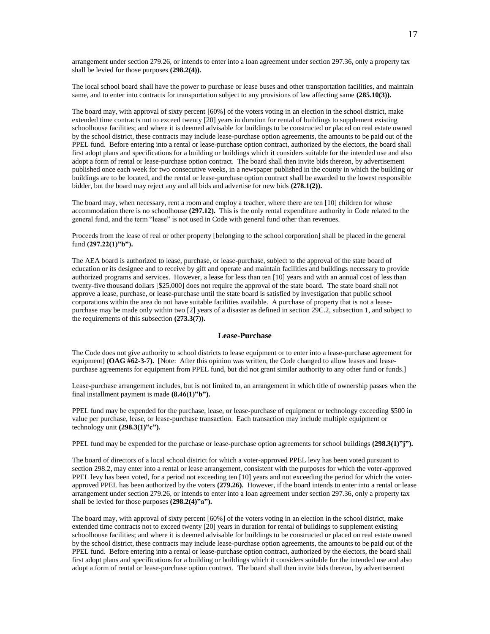arrangement under section 279.26, or intends to enter into a loan agreement under section 297.36, only a property tax shall be levied for those purposes **(298.2(4)).**

The local school board shall have the power to purchase or lease buses and other transportation facilities, and maintain same, and to enter into contracts for transportation subject to any provisions of law affecting same **(285.10(3)).**

The board may, with approval of sixty percent [60%] of the voters voting in an election in the school district, make extended time contracts not to exceed twenty [20] years in duration for rental of buildings to supplement existing schoolhouse facilities; and where it is deemed advisable for buildings to be constructed or placed on real estate owned by the school district, these contracts may include lease-purchase option agreements, the amounts to be paid out of the PPEL fund. Before entering into a rental or lease-purchase option contract, authorized by the electors, the board shall first adopt plans and specifications for a building or buildings which it considers suitable for the intended use and also adopt a form of rental or lease-purchase option contract. The board shall then invite bids thereon, by advertisement published once each week for two consecutive weeks, in a newspaper published in the county in which the building or buildings are to be located, and the rental or lease-purchase option contract shall be awarded to the lowest responsible bidder, but the board may reject any and all bids and advertise for new bids **(278.1(2)).**

The board may, when necessary, rent a room and employ a teacher, where there are ten [10] children for whose accommodation there is no schoolhouse **(297.12).** This is the only rental expenditure authority in Code related to the general fund, and the term "lease" is not used in Code with general fund other than revenues.

Proceeds from the lease of real or other property [belonging to the school corporation] shall be placed in the general fund **(297.22(1)"b").**

The AEA board is authorized to lease, purchase, or lease-purchase, subject to the approval of the state board of education or its designee and to receive by gift and operate and maintain facilities and buildings necessary to provide authorized programs and services. However, a lease for less than ten [10] years and with an annual cost of less than twenty-five thousand dollars [\$25,000] does not require the approval of the state board. The state board shall not approve a lease, purchase, or lease-purchase until the state board is satisfied by investigation that public school corporations within the area do not have suitable facilities available. A purchase of property that is not a leasepurchase may be made only within two [2] years of a disaster as defined in section 29C.2, subsection 1, and subject to the requirements of this subsection **(273.3(7)).**

#### **Lease-Purchase**

The Code does not give authority to school districts to lease equipment or to enter into a lease-purchase agreement for equipment] **(OAG #62-3-7).** [Note: After this opinion was written, the Code changed to allow leases and leasepurchase agreements for equipment from PPEL fund, but did not grant similar authority to any other fund or funds.]

Lease-purchase arrangement includes, but is not limited to, an arrangement in which title of ownership passes when the final installment payment is made **(8.46(1)"b").**

PPEL fund may be expended for the purchase, lease, or lease-purchase of equipment or technology exceeding \$500 in value per purchase, lease, or lease-purchase transaction. Each transaction may include multiple equipment or technology unit **(298.3(1)"c").**

PPEL fund may be expended for the purchase or lease-purchase option agreements for school buildings **(298.3(1)"j").**

The board of directors of a local school district for which a voter-approved PPEL levy has been voted pursuant to section 298.2, may enter into a rental or lease arrangement, consistent with the purposes for which the voter-approved PPEL levy has been voted, for a period not exceeding ten [10] years and not exceeding the period for which the voterapproved PPEL has been authorized by the voters **(279.26).** However, if the board intends to enter into a rental or lease arrangement under section 279.26, or intends to enter into a loan agreement under section 297.36, only a property tax shall be levied for those purposes **(298.2(4)"a").**

The board may, with approval of sixty percent [60%] of the voters voting in an election in the school district, make extended time contracts not to exceed twenty [20] years in duration for rental of buildings to supplement existing schoolhouse facilities; and where it is deemed advisable for buildings to be constructed or placed on real estate owned by the school district, these contracts may include lease-purchase option agreements, the amounts to be paid out of the PPEL fund. Before entering into a rental or lease-purchase option contract, authorized by the electors, the board shall first adopt plans and specifications for a building or buildings which it considers suitable for the intended use and also adopt a form of rental or lease-purchase option contract. The board shall then invite bids thereon, by advertisement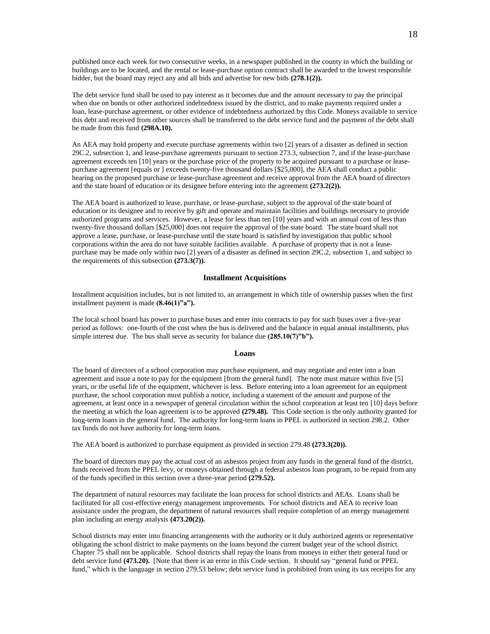published once each week for two consecutive weeks, in a newspaper published in the county in which the building or buildings are to be located, and the rental or lease-purchase option contract shall be awarded to the lowest responsible bidder, but the board may reject any and all bids and advertise for new bids **(278.1(2)).**

The debt service fund shall be used to pay interest as it becomes due and the amount necessary to pay the principal when due on bonds or other authorized indebtedness issued by the district, and to make payments required under a loan, lease-purchase agreement, or other evidence of indebtedness authorized by this Code. Moneys available to service this debt and received from other sources shall be transferred to the debt service fund and the payment of the debt shall be made from this fund **(298A.10).**

An AEA may hold property and execute purchase agreements within two [2] years of a disaster as defined in section 29C.2, subsection 1, and lease-purchase agreements pursuant to section 273.3, subsection 7, and if the lease-purchase agreement exceeds ten [10] years or the purchase price of the property to be acquired pursuant to a purchase or leasepurchase agreement [equals or ] exceeds twenty-five thousand dollars [\$25,000], the AEA shall conduct a public hearing on the proposed purchase or lease-purchase agreement and receive approval from the AEA board of directors and the state board of education or its designee before entering into the agreement **(273.2(2)).**

The AEA board is authorized to lease, purchase, or lease-purchase, subject to the approval of the state board of education or its designee and to receive by gift and operate and maintain facilities and buildings necessary to provide authorized programs and services. However, a lease for less than ten [10] years and with an annual cost of less than twenty-five thousand dollars [\$25,000] does not require the approval of the state board. The state board shall not approve a lease, purchase, or lease-purchase until the state board is satisfied by investigation that public school corporations within the area do not have suitable facilities available. A purchase of property that is not a leasepurchase may be made only within two [2] years of a disaster as defined in section 29C.2, subsection 1, and subject to the requirements of this subsection **(273.3(7)).**

### **Installment Acquisitions**

Installment acquisition includes, but is not limited to, an arrangement in which title of ownership passes when the first installment payment is made **(8.46(1)"a").**

The local school board has power to purchase buses and enter into contracts to pay for such buses over a five-year period as follows: one-fourth of the cost when the bus is delivered and the balance in equal annual installments, plus simple interest due. The bus shall serve as security for balance due **(285.10(7)"b").**

#### **Loans**

The board of directors of a school corporation may purchase equipment, and may negotiate and enter into a loan agreement and issue a note to pay for the equipment [from the general fund]. The note must mature within five [5] years, or the useful life of the equipment, whichever is less. Before entering into a loan agreement for an equipment purchase, the school corporation must publish a notice, including a statement of the amount and purpose of the agreement, at least once in a newspaper of general circulation within the school corporation at least ten [10] days before the meeting at which the loan agreement is to be approved **(279.48).** This Code section is the only authority granted for long-term loans in the general fund. The authority for long-term loans in PPEL is authorized in section 298.2. Other tax funds do not have authority for long-term loans.

The AEA board is authorized to purchase equipment as provided in section 279.48 **(273.3(20)).**

The board of directors may pay the actual cost of an asbestos project from any funds in the general fund of the district, funds received from the PPEL levy, or moneys obtained through a federal asbestos loan program, to be repaid from any of the funds specified in this section over a three-year period **(279.52).**

The department of natural resources may facilitate the loan process for school districts and AEAs. Loans shall be facilitated for all cost-effective energy management improvements. For school districts and AEA to receive loan assistance under the program, the department of natural resources shall require completion of an energy management plan including an energy analysis **(473.20(2)).** 

School districts may enter into financing arrangements with the authority or it duly authorized agents or representative obligating the school district to make payments on the loans beyond the current budget year of the school district. Chapter 75 shall not be applicable. School districts shall repay the loans from moneys in either their general fund or debt service fund **(473.20).** [Note that there is an error in this Code section. It should say "general fund or PPEL fund," which is the language in section 279.53 below; debt service fund is prohibited from using its tax receipts for any